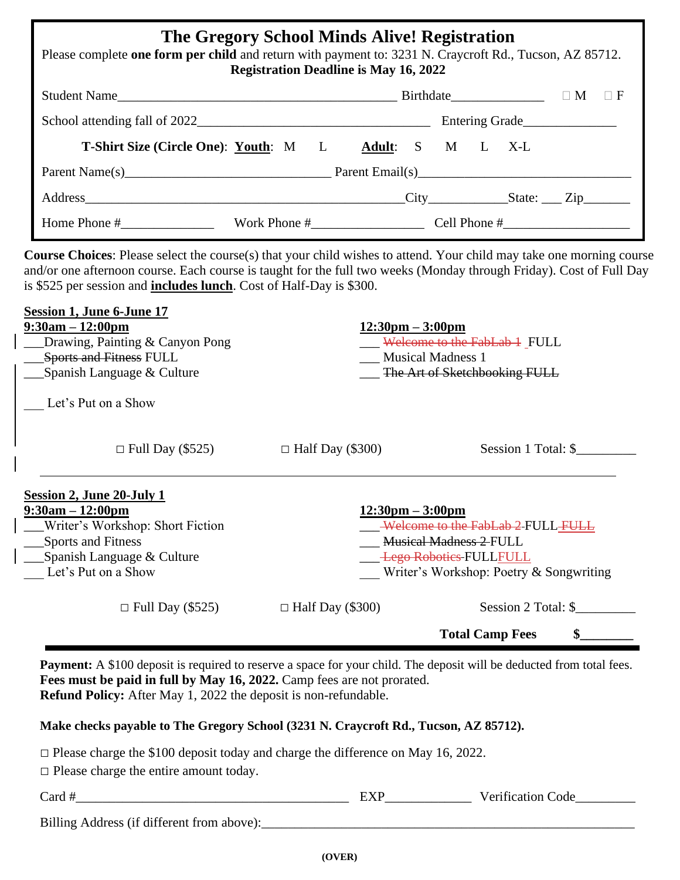| The Gregory School Minds Alive! Registration<br>Please complete one form per child and return with payment to: 3231 N. Craycroft Rd., Tucson, AZ 85712.<br><b>Registration Deadline is May 16, 2022</b> |                                 |                |  |  |
|---------------------------------------------------------------------------------------------------------------------------------------------------------------------------------------------------------|---------------------------------|----------------|--|--|
|                                                                                                                                                                                                         |                                 |                |  |  |
|                                                                                                                                                                                                         |                                 | Entering Grade |  |  |
| <b>T-Shirt Size (Circle One): Youth:</b> M L Adult: S M L X-L                                                                                                                                           |                                 |                |  |  |
|                                                                                                                                                                                                         |                                 |                |  |  |
| Address City City State: Zip                                                                                                                                                                            |                                 |                |  |  |
| Home Phone #                                                                                                                                                                                            | Work Phone $\#$ Cell Phone $\#$ |                |  |  |

**Course Choices**: Please select the course(s) that your child wishes to attend. Your child may take one morning course and/or one afternoon course. Each course is taught for the full two weeks (Monday through Friday). Cost of Full Day is \$525 per session and **includes lunch**. Cost of Half-Day is \$300.

| $12:30 \text{pm} - 3:00 \text{pm}$ | Welcome to the FabLab 1 FULL<br><b>Musical Madness 1</b>                                                                                       |
|------------------------------------|------------------------------------------------------------------------------------------------------------------------------------------------|
|                                    | The Art of Sketchbooking FULL                                                                                                                  |
| $\Box$ Half Day (\$300)            | Session 1 Total: \$                                                                                                                            |
| $12:30 \text{pm} - 3:00 \text{pm}$ | Welcome to the FabLab 2 FULL FULL<br><b>Musical Madness 2 FULL</b><br><b>Lego Robotics-FULLFULL</b><br>Writer's Workshop: Poetry & Songwriting |
| $\Box$ Half Day (\$300)            | Session 2 Total: \$<br><b>Total Camp Fees</b>                                                                                                  |
|                                    |                                                                                                                                                |

**Payment:** A \$100 deposit is required to reserve a space for your child. The deposit will be deducted from total fees. **Fees must be paid in full by May 16, 2022.** Camp fees are not prorated. **Refund Policy:** After May 1, 2022 the deposit is non-refundable.

**Make checks payable to The Gregory School (3231 N. Craycroft Rd., Tucson, AZ 85712).**

□ Please charge the \$100 deposit today and charge the difference on May 16, 2022.

 $\square$  Please charge the entire amount today.

| --<br>$-20$ | $\sim$<br>. |
|-------------|-------------|
|             |             |

| Billing Address (if different from above): |  |
|--------------------------------------------|--|
|                                            |  |